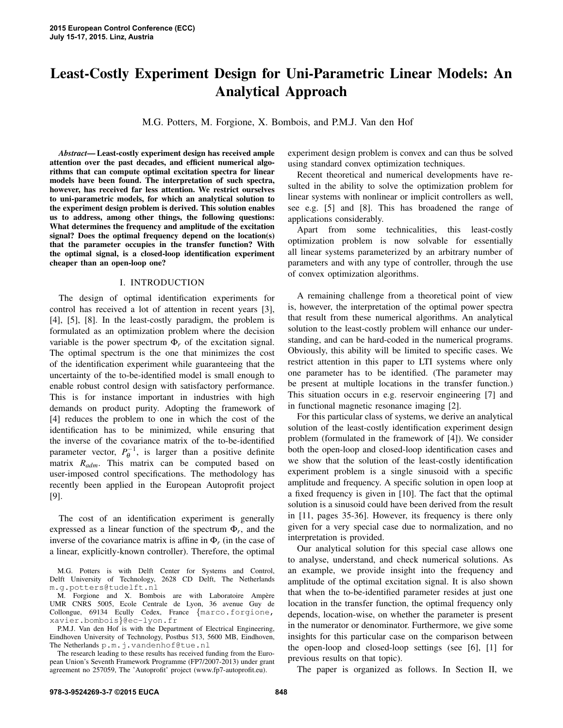# Least-Costly Experiment Design for Uni-Parametric Linear Models: An Analytical Approach

M.G. Potters, M. Forgione, X. Bombois, and P.M.J. Van den Hof

*Abstract*— Least-costly experiment design has received ample attention over the past decades, and efficient numerical algorithms that can compute optimal excitation spectra for linear models have been found. The interpretation of such spectra, however, has received far less attention. We restrict ourselves to uni-parametric models, for which an analytical solution to the experiment design problem is derived. This solution enables us to address, among other things, the following questions: What determines the frequency and amplitude of the excitation signal? Does the optimal frequency depend on the location(s) that the parameter occupies in the transfer function? With the optimal signal, is a closed-loop identification experiment cheaper than an open-loop one?

## I. INTRODUCTION

The design of optimal identification experiments for control has received a lot of attention in recent years [3], [4], [5], [8]. In the least-costly paradigm, the problem is formulated as an optimization problem where the decision variable is the power spectrum  $\Phi_r$  of the excitation signal. The optimal spectrum is the one that minimizes the cost of the identification experiment while guaranteeing that the uncertainty of the to-be-identified model is small enough to enable robust control design with satisfactory performance. This is for instance important in industries with high demands on product purity. Adopting the framework of [4] reduces the problem to one in which the cost of the identification has to be minimized, while ensuring that the inverse of the covariance matrix of the to-be-identified parameter vector,  $P_{\theta}^{-1}$ , is larger than a positive definite matrix *Radm*. This matrix can be computed based on user-imposed control specifications. The methodology has recently been applied in the European Autoprofit project [9].

The cost of an identification experiment is generally expressed as a linear function of the spectrum  $\Phi_r$ , and the inverse of the covariance matrix is affine in  $\Phi_r$  (in the case of a linear, explicitly-known controller). Therefore, the optimal

M.G. Potters is with Delft Center for Systems and Control, Delft University of Technology, 2628 CD Delft, The Netherlands m.g.potters@tudelft.nl

M. Forgione and X. Bombois are with Laboratoire Ampère UMR CNRS 5005, Ecole Centrale de Lyon, 36 avenue Guy de Collongue, 69134 Ecully Cedex, France {marco.forgione, xavier.bombois}@ec-lyon.fr

P.M.J. Van den Hof is with the Department of Electrical Engineering, Eindhoven University of Technology, Postbus 513, 5600 MB, Eindhoven, The Netherlands p.m.j.vandenhof@tue.nl

The research leading to these results has received funding from the European Union's Seventh Framework Programme (FP7/2007-2013) under grant agreement no 257059, The 'Autoprofit' project (www.fp7-autoprofit.eu).

experiment design problem is convex and can thus be solved using standard convex optimization techniques.

Recent theoretical and numerical developments have resulted in the ability to solve the optimization problem for linear systems with nonlinear or implicit controllers as well, see e.g. [5] and [8]. This has broadened the range of applications considerably.

Apart from some technicalities, this least-costly optimization problem is now solvable for essentially all linear systems parameterized by an arbitrary number of parameters and with any type of controller, through the use of convex optimization algorithms.

A remaining challenge from a theoretical point of view is, however, the interpretation of the optimal power spectra that result from these numerical algorithms. An analytical solution to the least-costly problem will enhance our understanding, and can be hard-coded in the numerical programs. Obviously, this ability will be limited to specific cases. We restrict attention in this paper to LTI systems where only one parameter has to be identified. (The parameter may be present at multiple locations in the transfer function.) This situation occurs in e.g. reservoir engineering [7] and in functional magnetic resonance imaging [2].

For this particular class of systems, we derive an analytical solution of the least-costly identification experiment design problem (formulated in the framework of [4]). We consider both the open-loop and closed-loop identification cases and we show that the solution of the least-costly identification experiment problem is a single sinusoid with a specific amplitude and frequency. A specific solution in open loop at a fixed frequency is given in [10]. The fact that the optimal solution is a sinusoid could have been derived from the result in [11, pages 35-36]. However, its frequency is there only given for a very special case due to normalization, and no interpretation is provided.

Our analytical solution for this special case allows one to analyse, understand, and check numerical solutions. As an example, we provide insight into the frequency and amplitude of the optimal excitation signal. It is also shown that when the to-be-identified parameter resides at just one location in the transfer function, the optimal frequency only depends, location-wise, on whether the parameter is present in the numerator or denominator. Furthermore, we give some insights for this particular case on the comparison between the open-loop and closed-loop settings (see [6], [1] for previous results on that topic).

The paper is organized as follows. In Section II, we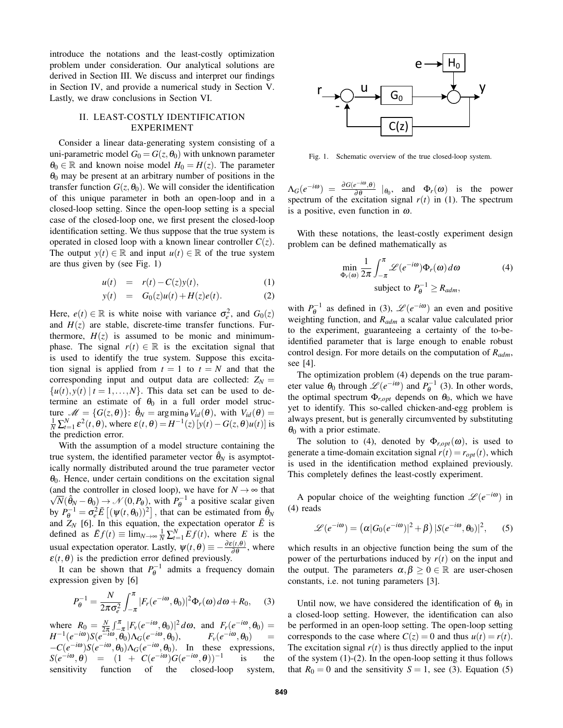introduce the notations and the least-costly optimization problem under consideration. Our analytical solutions are derived in Section III. We discuss and interpret our findings in Section IV, and provide a numerical study in Section V. Lastly, we draw conclusions in Section VI.

### II. LEAST-COSTLY IDENTIFICATION EXPERIMENT

Consider a linear data-generating system consisting of a uni-parametric model  $G_0 = G(z, \theta_0)$  with unknown parameter  $\theta_0 \in \mathbb{R}$  and known noise model  $H_0 = H(z)$ . The parameter  $\theta_0$  may be present at an arbitrary number of positions in the transfer function  $G(z, \theta_0)$ . We will consider the identification of this unique parameter in both an open-loop and in a closed-loop setting. Since the open-loop setting is a special case of the closed-loop one, we first present the closed-loop identification setting. We thus suppose that the true system is operated in closed loop with a known linear controller  $C(z)$ . The output  $y(t) \in \mathbb{R}$  and input  $u(t) \in \mathbb{R}$  of the true system are thus given by (see Fig. 1)

$$
u(t) = r(t) - C(z)y(t), \qquad (1)
$$

$$
y(t) = G_0(z)u(t) + H(z)e(t).
$$
 (2)

Here,  $e(t) \in \mathbb{R}$  is white noise with variance  $\sigma_e^2$ , and  $G_0(z)$ and  $H(z)$  are stable, discrete-time transfer functions. Furthermore,  $H(z)$  is assumed to be monic and minimumphase. The signal  $r(t) \in \mathbb{R}$  is the excitation signal that is used to identify the true system. Suppose this excitation signal is applied from  $t = 1$  to  $t = N$  and that the corresponding input and output data are collected:  $Z_N =$  $\{u(t), y(t) | t = 1, \ldots, N\}$ . This data set can be used to determine an estimate of  $\theta_0$  in a full order model structure  $\mathcal{M} = \{G(z, \theta)\}\colon \hat{\theta}_N = \arg\min_{\theta} V_{id}(\theta)$ , with  $V_{id}(\theta) =$  $\frac{1}{N}\sum_{t=1}^{N} \varepsilon^2(t,\theta)$ , where  $\varepsilon(t,\theta) = H^{-1}(z)[y(t) - G(z,\theta)u(t)]$  is the prediction error.

With the assumption of a model structure containing the true system, the identified parameter vector  $\hat{\theta}_N$  is asymptotically normally distributed around the true parameter vector  $\theta_0$ . Hence, under certain conditions on the excitation signal (and the controller in closed loop), we have for  $N \to \infty$  that  $\overline{N}(\hat{\theta}_N - \theta_0) \rightarrow \mathcal{N}(0, P_\theta)$ , with  $P_\theta^{-1}$  a positive scalar given by  $P_{\theta}^{-1} = \sigma_e^2 \bar{E} \left[ (\psi(t, \theta_0))^2 \right]$ , that can be estimated from  $\hat{\theta}_N$ and  $Z_N$  [6]. In this equation, the expectation operator  $\overline{E}$  is defined as  $\overline{E}f(t) \equiv \lim_{N \to \infty} \frac{1}{N} \sum_{t=1}^{N} Ef(t)$ , where *E* is the usual expectation operator. Lastly,  $\psi(t, \theta) \equiv -\frac{\partial \varepsilon(t, \theta)}{\partial \theta}$ , where  $\varepsilon(t,\theta)$  is the prediction error defined previously.

It can be shown that  $P_{\theta}^{-1}$  admits a frequency domain expression given by [6]

$$
P_{\theta}^{-1} = \frac{N}{2\pi\sigma_e^2} \int_{-\pi}^{\pi} |F_r(e^{-i\omega}, \theta_0)|^2 \Phi_r(\omega) d\omega + R_0, \quad (3)
$$

where  $R_0 = \frac{N}{2\pi} \int_{-\pi}^{\pi} |F_v(e^{-i\omega}, \theta_0)|^2 d\omega$ , and  $F_r(e^{-i\omega}, \theta_0) =$  $H^{-1}(e^{-i\omega})S(e^{-i\omega},\theta_0)\Lambda_G(e^{-i\omega},\theta_0),$   $F_v(e^{-i\omega},\theta_0)$  =  $-C(e^{-i\omega})S(e^{-i\omega},\theta_0)\Lambda_G(e^{-i\omega},\theta_0)$ . In these expressions,  $S(e^{-i\omega}, \theta) = (1 + C(e^{-i\omega})G(e^{-i\omega}, \theta))^{-1}$ is the sensitivity function of the closed-loop system,



Fig. 1. Schematic overview of the true closed-loop system.

 $\Delta_G(e^{-i\omega}) = \frac{\partial G(e^{-i\omega}, \theta)}{\partial \theta} \mid_{\theta_0}$ , and  $\Phi_r(\omega)$  is the power spectrum of the excitation signal  $r(t)$  in (1). The spectrum is a positive, even function in  $\omega$ .

With these notations, the least-costly experiment design problem can be defined mathematically as

$$
\min_{\Phi_r(\omega)} \frac{1}{2\pi} \int_{-\pi}^{\pi} \mathcal{L}(e^{-i\omega}) \Phi_r(\omega) d\omega
$$
\nsubject to 

$$
P_{\theta}^{-1} \ge R_{adm},
$$

with  $P_{\theta}^{-1}$  as defined in (3),  $\mathcal{L}(e^{-i\omega})$  an even and positive weighting function, and *Radm* a scalar value calculated prior to the experiment, guaranteeing a certainty of the to-beidentified parameter that is large enough to enable robust control design. For more details on the computation of *Radm*, see [4].

The optimization problem (4) depends on the true parameter value  $\theta_0$  through  $\mathscr{L}(e^{-i\omega})$  and  $P^{-1}_{\theta}$  (3). In other words, the optimal spectrum  $\Phi_{r,opt}$  depends on  $\theta_0$ , which we have yet to identify. This so-called chicken-and-egg problem is always present, but is generally circumvented by substituting  $\theta_0$  with a prior estimate.

The solution to (4), denoted by  $\Phi_{r, opt}(\omega)$ , is used to generate a time-domain excitation signal  $r(t) = r_{opt}(t)$ , which is used in the identification method explained previously. This completely defines the least-costly experiment.

A popular choice of the weighting function  $\mathcal{L}(e^{-i\omega})$  in (4) reads

$$
\mathscr{L}(e^{-i\omega}) = (\alpha |G_0(e^{-i\omega})|^2 + \beta) |S(e^{-i\omega}, \theta_0)|^2, \qquad (5)
$$

which results in an objective function being the sum of the power of the perturbations induced by *r*(*t*) on the input and the output. The parameters  $\alpha, \beta > 0 \in \mathbb{R}$  are user-chosen constants, i.e. not tuning parameters [3].

Until now, we have considered the identification of  $\theta_0$  in a closed-loop setting. However, the identification can also be performed in an open-loop setting. The open-loop setting corresponds to the case where  $C(z) = 0$  and thus  $u(t) = r(t)$ . The excitation signal  $r(t)$  is thus directly applied to the input of the system (1)-(2). In the open-loop setting it thus follows that  $R_0 = 0$  and the sensitivity  $S = 1$ , see (3). Equation (5)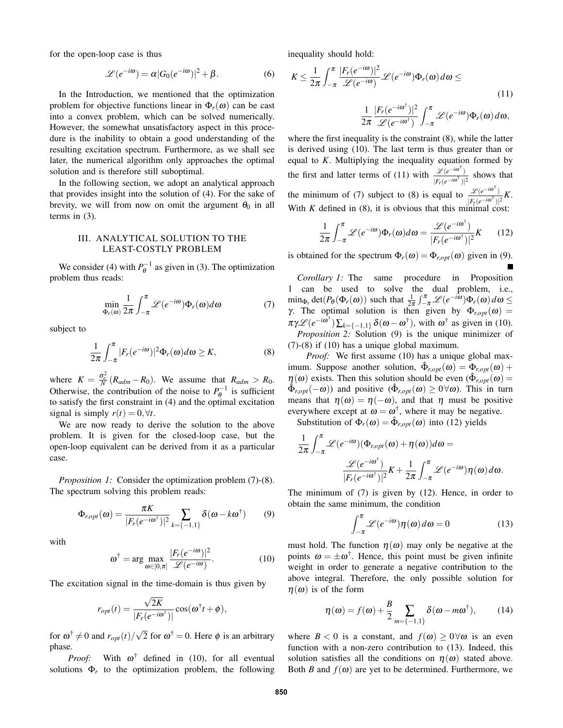for the open-loop case is thus

$$
\mathcal{L}(e^{-i\omega}) = \alpha |G_0(e^{-i\omega})|^2 + \beta.
$$
 (6)

In the Introduction, we mentioned that the optimization problem for objective functions linear in  $\Phi_r(\omega)$  can be cast into a convex problem, which can be solved numerically. However, the somewhat unsatisfactory aspect in this procedure is the inability to obtain a good understanding of the resulting excitation spectrum. Furthermore, as we shall see later, the numerical algorithm only approaches the optimal solution and is therefore still suboptimal.

In the following section, we adopt an analytical approach that provides insight into the solution of (4). For the sake of brevity, we will from now on omit the argument  $\theta_0$  in all terms in (3).

# III. ANALYTICAL SOLUTION TO THE LEAST-COSTLY PROBLEM

We consider (4) with  $P_{\theta}^{-1}$  as given in (3). The optimization problem thus reads:

$$
\min_{\Phi_r(\omega)} \frac{1}{2\pi} \int_{-\pi}^{\pi} \mathcal{L}(e^{-i\omega}) \Phi_r(\omega) d\omega \tag{7}
$$

subject to

$$
\frac{1}{2\pi} \int_{-\pi}^{\pi} |F_r(e^{-i\omega})|^2 \Phi_r(\omega) d\omega \ge K,
$$
\n(8)

where  $K = \frac{\sigma_e^2}{N} (R_{adm} - R_0)$ . We assume that  $R_{adm} > R_0$ . Otherwise, the contribution of the noise to  $P_{\theta}^{-1}$  is sufficient to satisfy the first constraint in (4) and the optimal excitation signal is simply  $r(t) = 0, \forall t$ .

We are now ready to derive the solution to the above problem. It is given for the closed-loop case, but the open-loop equivalent can be derived from it as a particular case.

*Proposition 1:* Consider the optimization problem (7)-(8). The spectrum solving this problem reads:

$$
\Phi_{r,opt}(\omega) = \frac{\pi K}{|F_r(e^{-i\omega^{\dagger}})|^2} \sum_{k=\{-1,1\}} \delta(\omega - k\omega^{\dagger}) \qquad (9)
$$

with

$$
\omega^{\dagger} = \arg \max_{\omega \in [0,\pi]} \frac{|F_r(e^{-i\omega})|^2}{\mathscr{L}(e^{-i\omega})}.
$$
 (10)

The excitation signal in the time-domain is thus given by

$$
r_{opt}(t) = \frac{\sqrt{2K}}{|F_r(e^{-i\omega^{\dagger}})|} \cos(\omega^{\dagger} t + \phi),
$$

for  $\omega^{\dagger} \neq 0$  and  $r_{opt}(t)/\sqrt{ }$  $\overline{2}$  for  $\omega^{\dagger} = 0$ . Here  $\phi$  is an arbitrary phase.

*Proof:* With  $\omega^{\dagger}$  defined in (10), for all eventual solutions  $\Phi_r$  to the optimization problem, the following inequality should hold:

$$
K \leq \frac{1}{2\pi} \int_{-\pi}^{\pi} \frac{|F_r(e^{-i\omega})|^2}{\mathcal{L}(e^{-i\omega})} \mathcal{L}(e^{-i\omega}) \Phi_r(\omega) d\omega \leq
$$
  

$$
\frac{1}{2\pi} \frac{|F_r(e^{-i\omega^{\dagger}})|^2}{\mathcal{L}(e^{-i\omega^{\dagger}})} \int_{-\pi}^{\pi} \mathcal{L}(e^{-i\omega}) \Phi_r(\omega) d\omega,
$$
 (11)

where the first inequality is the constraint (8), while the latter is derived using (10). The last term is thus greater than or equal to *K*. Multiplying the inequality equation formed by the first and latter terms of (11) with  $\frac{\mathscr{L}(e^{-i\omega^\dagger})}{\sqrt{E^2 + i\omega^\dagger}}$  $\frac{z(e^{-i\omega^{\dagger}})}{|F_r(e^{-i\omega^{\dagger}})|^2}$  shows that the minimum of (7) subject to (8) is equal to  $\frac{\mathscr{L}(e^{-i\omega t})}{\sqrt{2\pi i} \sqrt{2\pi}}$  $\frac{\mathscr{L}(e^{-i\omega^{\dagger}})}{|F_r(e^{-i\omega^{\dagger}})|^2}K.$ With  $K$  defined in  $(8)$ , it is obvious that this minimal cost:

$$
\frac{1}{2\pi} \int_{-\pi}^{\pi} \mathcal{L}(e^{-i\omega}) \Phi_r(\omega) d\omega = \frac{\mathcal{L}(e^{-i\omega^{\dagger}})}{|F_r(e^{-i\omega^{\dagger}})|^2} K \qquad (12)
$$

is obtained for the spectrum  $\Phi_r(\omega) = \Phi_{r, opt}(\omega)$  given in (9).

*Corollary 1:* The same procedure in Proposition 1 can be used to solve the dual problem, i.e.,  $\min_{\Phi_r} \det(P_\theta(\Phi_r(\omega))$  such that  $\frac{1}{2\pi} \int_{-\pi}^{\pi} \mathcal{L}(e^{-i\omega}) \Phi_r(\omega) d\omega \leq$ γ. The optimal solution is then given by  $Φ_{r,opt}(ω)$  =  $\pi \gamma \mathscr{L} (e^{-i\omega^{\dagger}}) \sum_{k=\{-1,1\}} \delta(\omega - \omega^{\dagger}),$  with  $\omega^{\dagger}$  as given in (10). *Proposition 2:* Solution (9) is the unique minimizer of (7)-(8) if (10) has a unique global maximum.

*Proof:* We first assume (10) has a unique global maximum. Suppose another solution,  $\hat{\Phi}_{r, opt}(\omega) = \Phi_{r, opt}(\omega) + \Phi_{r, opt}(\omega)$  $\eta(\omega)$  exists. Then this solution should be even  $(\hat{\Phi}_{r, opt}(\omega))$  $\hat{\Phi}_{r, opt}(-\omega)$  and positive  $(\hat{\Phi}_{r, opt}(\omega) \ge 0 \forall \omega)$ . This in turn means that  $\eta(\omega) = \eta(-\omega)$ , and that  $\eta$  must be positive everywhere except at  $\omega = \omega^{\dagger}$ , where it may be negative.

Substitution of  $\Phi_r(\omega) = \hat{\Phi}_{r, opt}(\omega)$  into (12) yields

$$
\frac{1}{2\pi} \int_{-\pi}^{\pi} \mathscr{L}(e^{-i\omega})(\Phi_{r, opt}(\omega) + \eta(\omega))d\omega =
$$

$$
\frac{\mathscr{L}(e^{-i\omega^{\dagger}})}{|F_r(e^{-i\omega^{\dagger}})|^2}K + \frac{1}{2\pi} \int_{-\pi}^{\pi} \mathscr{L}(e^{-i\omega})\eta(\omega)d\omega.
$$

The minimum of (7) is given by (12). Hence, in order to obtain the same minimum, the condition

$$
\int_{-\pi}^{\pi} \mathcal{L}(e^{-i\omega}) \eta(\omega) d\omega = 0 \tag{13}
$$

must hold. The function  $\eta(\omega)$  may only be negative at the points  $\omega = \pm \omega^{\dagger}$ . Hence, this point must be given infinite weight in order to generate a negative contribution to the above integral. Therefore, the only possible solution for  $\eta(\omega)$  is of the form

$$
\eta(\omega) = f(\omega) + \frac{B}{2} \sum_{m=\{-1,1\}} \delta(\omega - m\omega^{\dagger}), \qquad (14)
$$

where  $B < 0$  is a constant, and  $f(\omega) \ge 0 \forall \omega$  is an even function with a non-zero contribution to (13). Indeed, this solution satisfies all the conditions on  $\eta(\omega)$  stated above. Both *B* and  $f(\omega)$  are yet to be determined. Furthermore, we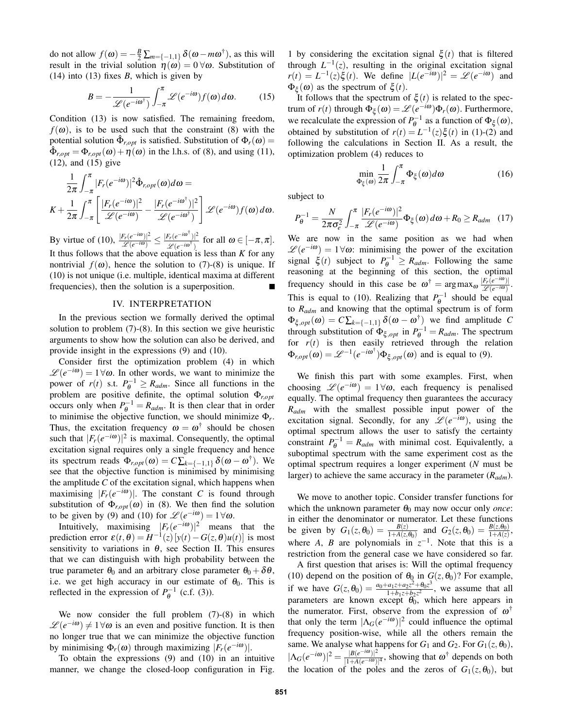do not allow  $f(\omega) = -\frac{B}{2} \sum_{m=\{-1,1\}} \delta(\omega - m\omega^{\dagger})$ , as this will result in the trivial solution  $\eta(\omega) = 0 \,\forall \omega$ . Substitution of (14) into (13) fixes *B*, which is given by

$$
B = -\frac{1}{\mathscr{L}(e^{-i\omega^{\dagger}})} \int_{-\pi}^{\pi} \mathscr{L}(e^{-i\omega}) f(\omega) d\omega.
$$
 (15)

Condition (13) is now satisfied. The remaining freedom,  $f(\omega)$ , is to be used such that the constraint (8) with the potential solution  $\hat{\Phi}_{r, opt}$  is satisfied. Substitution of  $\Phi_r(\omega) =$  $\hat{\Phi}_{r,opt} = \Phi_{r,opt}(\omega) + \eta(\omega)$  in the l.h.s. of (8), and using (11), (12), and (15) give

$$
\frac{1}{2\pi} \int_{-\pi}^{\pi} |F_r(e^{-i\omega})|^2 \hat{\Phi}_{r, opt}(\omega) d\omega =
$$
\n
$$
K + \frac{1}{2\pi} \int_{-\pi}^{\pi} \left[ \frac{|F_r(e^{-i\omega})|^2}{\mathcal{L}(e^{-i\omega})} - \frac{|F_r(e^{-i\omega^{\dagger}})|^2}{\mathcal{L}(e^{-i\omega^{\dagger}})} \right] \mathcal{L}(e^{-i\omega}) f(\omega) d\omega.
$$

By virtue of (10),  $\frac{|F_r(e^{-i\omega})|^2}{\varphi(e^{-i\omega})}$  $\frac{\sqrt{F_r(e^{-i\omega})^2}}{\mathscr{L}(e^{-i\omega})} \leq \frac{|F_r(e^{-i\omega^{\dagger}})|^2}{\mathscr{L}(e^{-i\omega^{\dagger}})}$  $\frac{\mathcal{L}_{r}(e^{-i\omega^{\dagger}})}{\mathcal{L}(e^{-i\omega^{\dagger}})}$  for all  $\omega \in [-\pi,\pi]$ . It thus follows that the above equation is less than *K* for any nontrivial  $f(\omega)$ , hence the solution to (7)-(8) is unique. If (10) is not unique (i.e. multiple, identical maxima at different frequencies), then the solution is a superposition.

# IV. INTERPRETATION

In the previous section we formally derived the optimal solution to problem (7)-(8). In this section we give heuristic arguments to show how the solution can also be derived, and provide insight in the expressions (9) and (10).

Consider first the optimization problem (4) in which  $\mathscr{L}(e^{-i\omega}) = 1 \forall \omega$ . In other words, we want to minimize the power of  $r(t)$  s.t.  $P_{\theta}^{-1} \ge R_{adm}$ . Since all functions in the problem are positive definite, the optimal solution Φ*r*,*opt* occurs only when  $P_{\theta}^{-1} = R_{adm}$ . It is then clear that in order to minimise the objective function, we should minimize Φ*<sup>r</sup>* . Thus, the excitation frequency  $\omega = \omega^{\dagger}$  should be chosen such that  $|F_r(e^{-i\omega})|^2$  is maximal. Consequently, the optimal excitation signal requires only a single frequency and hence its spectrum reads  $\Phi_{r, opt}(\omega) = C \sum_{k=\{-1,1\}} \delta(\omega - \omega^{\dagger})$ . We see that the objective function is minimised by minimising the amplitude *C* of the excitation signal, which happens when maximising  $|F_r(e^{-i\omega})|$ . The constant *C* is found through substitution of  $\Phi_{r,opt}(\omega)$  in (8). We then find the solution to be given by (9) and (10) for  $\mathcal{L}(e^{-i\omega}) = 1 \forall \omega$ .

Intuitively, maximising  $|F_r(e^{-i\omega})|^2$  means that the prediction error  $\varepsilon(t, \theta) = H^{-1}(z)[y(t) - G(z, \theta)u(t)]$  is most sensitivity to variations in  $\theta$ , see Section II. This ensures that we can distinguish with high probability between the true parameter  $\theta_0$  and an arbitrary close parameter  $\theta_0 + \delta \theta$ , i.e. we get high accuracy in our estimate of  $\theta_0$ . This is reflected in the expression of  $P_{\theta}^{-1}$  (c.f. (3)).

We now consider the full problem (7)-(8) in which  $\mathscr{L}(e^{-i\omega}) \neq 1 \forall \omega$  is an even and positive function. It is then no longer true that we can minimize the objective function by minimising  $\Phi_r(\omega)$  through maximizing  $|F_r(e^{-i\omega})|$ .

To obtain the expressions (9) and (10) in an intuitive manner, we change the closed-loop configuration in Fig.

1 by considering the excitation signal  $\xi(t)$  that is filtered through  $L^{-1}(z)$ , resulting in the original excitation signal  $r(t) = L^{-1}(z)\xi(t)$ . We define  $|L(e^{-i\omega})|^2 = \mathcal{L}(e^{-i\omega})$  and  $\Phi_{\xi}(\omega)$  as the spectrum of  $\xi(t)$ .

It follows that the spectrum of  $\xi(t)$  is related to the spectrum of  $r(t)$  through  $\Phi_{\xi}(\omega) = \mathscr{L}(e^{-i\omega})\Phi_r(\omega)$ . Furthermore, we recalculate the expression of  $P_{\theta}^{-1}$  as a function of  $\Phi_{\xi}(\omega)$ , obtained by substitution of  $r(t) = L^{-1}(z)\xi(t)$  in (1)-(2) and following the calculations in Section II. As a result, the optimization problem (4) reduces to

$$
\min_{\Phi_{\xi}(\omega)} \frac{1}{2\pi} \int_{-\pi}^{\pi} \Phi_{\xi}(\omega) d\omega \tag{16}
$$

subject to

$$
P_{\theta}^{-1} = \frac{N}{2\pi\sigma_e^2} \int_{-\pi}^{\pi} \frac{|F_r(e^{-i\omega})|^2}{\mathscr{L}(e^{-i\omega})} \Phi_{\xi}(\omega) d\omega + R_0 \ge R_{adm} \quad (17)
$$

We are now in the same position as we had when  $\mathscr{L}(e^{-i\omega}) = 1 \forall \omega$ : minimising the power of the excitation signal  $\xi(t)$  subject to  $P_{\theta}^{-1} \ge R_{adm}$ . Following the same reasoning at the beginning of this section, the optimal frequency should in this case be  $\omega^{\dagger} = \arg \max_{\omega} \frac{|F_r(e^{-i\omega})|}{\mathcal{L}(e^{-i\omega})}$ L (*e*−*i*ω) . This is equal to (10). Realizing that  $P_{\theta}^{-1}$  should be equal to *Radm* and knowing that the optimal spectrum is of form  $\Phi_{\xi, opt}(\omega) = C \sum_{k=\{-1,1\}} \delta(\omega - \omega^{\dagger})$  we find amplitude C through substitution of  $\Phi_{\xi, opt}$  in  $P_{\theta}^{-1} = R_{adm}$ . The spectrum for  $r(t)$  is then easily retrieved through the relation  $\Phi_{r,opt}(\omega) = \mathcal{L}^{-1}(e^{-i\omega^{\dagger}})\Phi_{\xi,opt}(\omega)$  and is equal to (9).

We finish this part with some examples. First, when choosing  $\mathscr{L}(e^{-i\omega}) = 1 \forall \omega$ , each frequency is penalised equally. The optimal frequency then guarantees the accuracy *Radm* with the smallest possible input power of the excitation signal. Secondly, for any  $\mathcal{L}(e^{-i\omega})$ , using the optimal spectrum allows the user to satisfy the certainty constraint  $P_{\theta}^{-1} = R_{adm}$  with minimal cost. Equivalently, a suboptimal spectrum with the same experiment cost as the optimal spectrum requires a longer experiment (*N* must be larger) to achieve the same accuracy in the parameter (*Radm*).

We move to another topic. Consider transfer functions for which the unknown parameter  $\theta_0$  may now occur only *once*: in either the denominator or numerator. Let these functions be given by  $G_1(z, \theta_0) = \frac{B(z)}{1+A(z, \theta_0)}$  and  $G_2(z, \theta_0) = \frac{B(z, \theta_0)}{1+A(z)}$ , where *A*, *B* are polynomials in  $z^{-1}$ . Note that this is a restriction from the general case we have considered so far.

A first question that arises is: Will the optimal frequency (10) depend on the position of  $\theta_0$  in  $G(z, \theta_0)$ ? For example, if we have  $G(z, \theta_0) = \frac{a_0 + a_1 z + a_2 z^2 + \theta_0 z^3}{1 + b_1 z + b_2 z^2}$  $\frac{a_1z + a_2z + b_0z}{1+b_1z + b_2z^2}$ , we assume that all parameters are known except  $\theta_0$ , which here appears in the numerator. First, observe from the expression of  $\omega^{\dagger}$ that only the term  $|\Lambda_G(e^{-i\omega})|^2$  could influence the optimal frequency position-wise, while all the others remain the same. We analyse what happens for  $G_1$  and  $G_2$ . For  $G_1(z, \theta_0)$ ,  $|\Lambda_G(e^{-i\omega})|^2 = \frac{|B(e^{-i\omega})|^2}{|1+A(e^{-i\omega})|}$  $\frac{|B(e^{-i\omega})|^2}{|1+A(e^{-i\omega})|^4}$ , showing that  $\omega^{\dagger}$  depends on both the location of the poles and the zeros of  $G_1(z, \theta_0)$ , but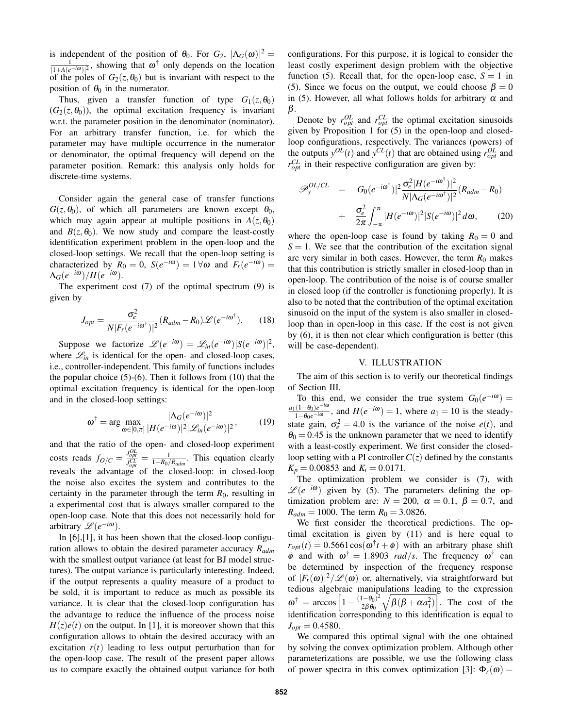is independent of the position of  $\theta_0$ . For  $G_2$ ,  $|\Lambda_G(\omega)|^2 =$  $\frac{1}{|1+A(e^{-i\omega})|^2}$ , showing that  $\omega^{\dagger}$  only depends on the location of the poles of  $G_2(z, \theta_0)$  but is invariant with respect to the position of  $\theta_0$  in the numerator.

Thus, given a transfer function of type  $G_1(z, \theta_0)$  $(G_2(z, \theta_0))$ , the optimal excitation frequency is invariant w.r.t. the parameter position in the denominator (nominator). For an arbitrary transfer function, i.e. for which the parameter may have multiple occurrence in the numerator or denominator, the optimal frequency will depend on the parameter position. Remark: this analysis only holds for discrete-time systems.

Consider again the general case of transfer functions  $G(z, \theta_0)$ , of which all parameters are known except  $\theta_0$ , which may again appear at multiple positions in  $A(z, \theta_0)$ and  $B(z, \theta_0)$ . We now study and compare the least-costly identification experiment problem in the open-loop and the closed-loop settings. We recall that the open-loop setting is characterized by  $R_0 = 0$ ,  $S(e^{-i\omega}) = 1 \forall \omega$  and  $F_r(e^{-i\omega}) =$  $\Lambda_G(e^{-i\omega})/H(e^{-i\omega}).$ 

The experiment cost (7) of the optimal spectrum (9) is given by

$$
J_{opt} = \frac{\sigma_e^2}{N|F_r(e^{-i\omega^{\dagger}})|^2} (R_{adm} - R_0) \mathcal{L}(e^{-i\omega^{\dagger}}). \tag{18}
$$

Suppose we factorize  $\mathscr{L}(e^{-i\omega}) = \mathscr{L}_{in}(e^{-i\omega})|S(e^{-i\omega})|^2$ , where  $\mathcal{L}_{in}$  is identical for the open- and closed-loop cases, i.e., controller-independent. This family of functions includes the popular choice (5)-(6). Then it follows from (10) that the optimal excitation frequency is identical for the open-loop and in the closed-loop settings:

$$
\omega^{\dagger} = \arg \max_{\omega \in [0,\pi]} \frac{|\Lambda_G(e^{-i\omega})|^2}{|H(e^{-i\omega})|^2 |\mathcal{L}_m(e^{-i\omega})|^2},\tag{19}
$$

and that the ratio of the open- and closed-loop experiment costs reads  $f_{O/C} = \frac{J_{opt}^{OL}}{J_{opt}^{CL}} = \frac{1}{1 - R_0/R_{adm}}$ . This equation clearly reveals the advantage of the closed-loop: in closed-loop the noise also excites the system and contributes to the certainty in the parameter through the term  $R_0$ , resulting in a experimental cost that is always smaller compared to the open-loop case. Note that this does not necessarily hold for arbitrary  $\mathscr{L}(e^{-i\omega})$ .

In [6],[1], it has been shown that the closed-loop configuration allows to obtain the desired parameter accuracy *Radm* with the smallest output variance (at least for BJ model structures). The output variance is particularly interesting. Indeed, if the output represents a quality measure of a product to be sold, it is important to reduce as much as possible its variance. It is clear that the closed-loop configuration has the advantage to reduce the influence of the process noise  $H(z)e(t)$  on the output. In [1], it is moreover shown that this configuration allows to obtain the desired accuracy with an excitation  $r(t)$  leading to less output perturbation than for the open-loop case. The result of the present paper allows us to compare exactly the obtained output variance for both configurations. For this purpose, it is logical to consider the least costly experiment design problem with the objective function (5). Recall that, for the open-loop case,  $S = 1$  in (5). Since we focus on the output, we could choose  $\beta = 0$ in (5). However, all what follows holds for arbitrary  $\alpha$  and β.

Denote by  $r_{opt}^{OL}$  and  $r_{opt}^{CL}$  the optimal excitation sinusoids given by Proposition 1 for (5) in the open-loop and closedloop configurations, respectively. The variances (powers) of the outputs  $y^{OL}(t)$  and  $y^{CL}(t)$  that are obtained using  $r^{OL}_{opt}$  and  $r_{opt}^{CL}$  in their respective configuration are given by:

$$
\mathcal{P}_{y}^{OL/CL} = |G_{0}(e^{-i\omega^{\dagger}})|^{2} \frac{\sigma_{e}^{2}|H(e^{-i\omega^{\dagger}})|^{2}}{N|\Lambda_{G}(e^{-i\omega^{\dagger}})|^{2}} (R_{adm} - R_{0})
$$

$$
+ \frac{\sigma_{e}^{2}}{2\pi} \int_{-\pi}^{\pi} |H(e^{-i\omega})|^{2} |S(e^{-i\omega})|^{2} d\omega, \qquad (20)
$$

where the open-loop case is found by taking  $R_0 = 0$  and  $S = 1$ . We see that the contribution of the excitation signal are very similar in both cases. However, the term  $R_0$  makes that this contribution is strictly smaller in closed-loop than in open-loop. The contribution of the noise is of course smaller in closed loop (if the controller is functioning properly). It is also to be noted that the contribution of the optimal excitation sinusoid on the input of the system is also smaller in closedloop than in open-loop in this case. If the cost is not given by (6), it is then not clear which configuration is better (this will be case-dependent).

#### V. ILLUSTRATION

The aim of this section is to verify our theoretical findings of Section III.

To this end, we consider the true system  $G_0(e^{-i\omega}) =$  $a_1(1-\theta_0)e^{-i\omega}$ , and  $H(e^{-i\omega})=1$ , where  $a_1=10$  is the steadystate gain,  $\sigma_e^2 = 4.0$  is the variance of the noise  $e(t)$ , and  $\theta_0 = 0.45$  is the unknown parameter that we need to identify with a least-costly experiment. We first consider the closedloop setting with a PI controller  $C(z)$  defined by the constants  $K_p = 0.00853$  and  $K_i = 0.0171$ .

The optimization problem we consider is (7), with  $\mathscr{L}(e^{-i\omega})$  given by (5). The parameters defining the optimization problem are:  $N = 200$ ,  $\alpha = 0.1$ ,  $\beta = 0.7$ , and  $R_{adm} = 1000$ . The term  $R_0 = 3.0826$ .

We first consider the theoretical predictions. The optimal excitation is given by (11) and is here equal to  $r_{opt}(t) = 0.5661 \cos(\omega^{\dagger} t + \phi)$  with an arbitrary phase shift  $\phi$  and with  $\omega^{\dagger} = 1.8903$  *rad/s*. The frequency  $\omega^{\dagger}$  can be determined by inspection of the frequency response of  $|F_r(\omega)|^2/\mathscr{L}(\omega)$  or, alternatively, via straightforward but tedious algebraic manipulations leading to the expression  $\omega^{\dagger} = \arccos \left[1 - \frac{(1-\theta_0)^2}{2\beta \theta_0}\right]$  $2\beta\theta_0$  $\sqrt{\beta(\beta + \alpha a_1^2)}$ . The cost of the identification corresponding to this identification is equal to  $J_{opt} = 0.4580$ .

We compared this optimal signal with the one obtained by solving the convex optimization problem. Although other parameterizations are possible, we use the following class of power spectra in this convex optimization [3]:  $\Phi_r(\omega) =$